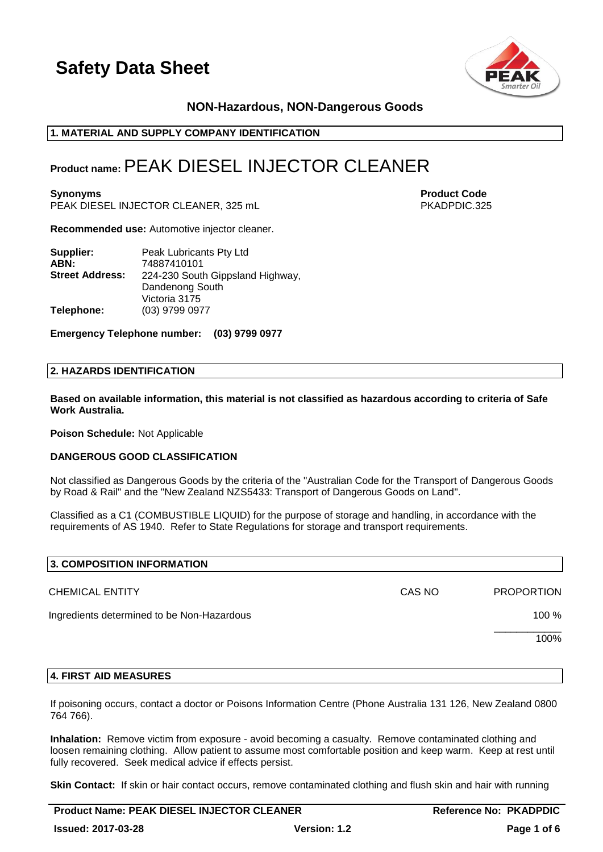

## **NON-Hazardous, NON-Dangerous Goods**

## **1. MATERIAL AND SUPPLY COMPANY IDENTIFICATION**

## **Product name:**PEAK DIESEL INJECTOR CLEANER

**Synonyms Product Code** PEAK DIESEL INJECTOR CLEANER, 325 mL PKADPDIC.325

**Recommended use:** Automotive injector cleaner.

| Supplier:              | Peak Lubricants Pty Ltd          |
|------------------------|----------------------------------|
| ABN:                   | 74887410101                      |
| <b>Street Address:</b> | 224-230 South Gippsland Highway, |
|                        | Dandenong South                  |
|                        | Victoria 3175                    |
| Telephone:             | (03) 9799 0977                   |

**Emergency Telephone number: (03) 9799 0977**

## **2. HAZARDS IDENTIFICATION**

**Based on available information, this material is not classified as hazardous according to criteria of Safe Work Australia.**

**Poison Schedule:** Not Applicable

### **DANGEROUS GOOD CLASSIFICATION**

Not classified as Dangerous Goods by the criteria of the "Australian Code for the Transport of Dangerous Goods by Road & Rail" and the "New Zealand NZS5433: Transport of Dangerous Goods on Land".

Classified as a C1 (COMBUSTIBLE LIQUID) for the purpose of storage and handling, in accordance with the requirements of AS 1940. Refer to State Regulations for storage and transport requirements.

| 3. COMPOSITION INFORMATION                 |        |                   |
|--------------------------------------------|--------|-------------------|
| <b>CHEMICAL ENTITY</b>                     | CAS NO | <b>PROPORTION</b> |
| Ingredients determined to be Non-Hazardous |        | 100 %             |
|                                            |        | 100%              |
|                                            |        |                   |

### **4. FIRST AID MEASURES**

If poisoning occurs, contact a doctor or Poisons Information Centre (Phone Australia 131 126, New Zealand 0800 764 766).

**Inhalation:** Remove victim from exposure - avoid becoming a casualty. Remove contaminated clothing and loosen remaining clothing. Allow patient to assume most comfortable position and keep warm. Keep at rest until fully recovered. Seek medical advice if effects persist.

**Skin Contact:** If skin or hair contact occurs, remove contaminated clothing and flush skin and hair with running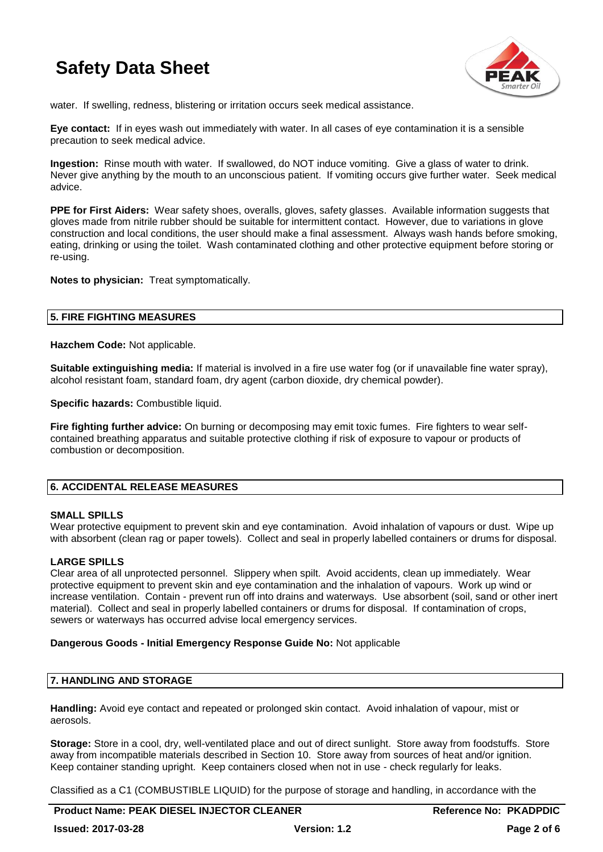

water. If swelling, redness, blistering or irritation occurs seek medical assistance.

**Eye contact:** If in eyes wash out immediately with water. In all cases of eye contamination it is a sensible precaution to seek medical advice.

**Ingestion:** Rinse mouth with water. If swallowed, do NOT induce vomiting. Give a glass of water to drink. Never give anything by the mouth to an unconscious patient. If vomiting occurs give further water. Seek medical advice.

**PPE for First Aiders:** Wear safety shoes, overalls, gloves, safety glasses. Available information suggests that gloves made from nitrile rubber should be suitable for intermittent contact. However, due to variations in glove construction and local conditions, the user should make a final assessment. Always wash hands before smoking, eating, drinking or using the toilet. Wash contaminated clothing and other protective equipment before storing or re-using.

**Notes to physician:** Treat symptomatically.

## **5. FIRE FIGHTING MEASURES**

**Hazchem Code:** Not applicable.

**Suitable extinguishing media:** If material is involved in a fire use water fog (or if unavailable fine water spray), alcohol resistant foam, standard foam, dry agent (carbon dioxide, dry chemical powder).

**Specific hazards: Combustible liquid.** 

**Fire fighting further advice:** On burning or decomposing may emit toxic fumes. Fire fighters to wear selfcontained breathing apparatus and suitable protective clothing if risk of exposure to vapour or products of combustion or decomposition.

## **6. ACCIDENTAL RELEASE MEASURES**

### **SMALL SPILLS**

Wear protective equipment to prevent skin and eye contamination. Avoid inhalation of vapours or dust. Wipe up with absorbent (clean rag or paper towels). Collect and seal in properly labelled containers or drums for disposal.

## **LARGE SPILLS**

Clear area of all unprotected personnel. Slippery when spilt. Avoid accidents, clean up immediately. Wear protective equipment to prevent skin and eye contamination and the inhalation of vapours. Work up wind or increase ventilation. Contain - prevent run off into drains and waterways. Use absorbent (soil, sand or other inert material). Collect and seal in properly labelled containers or drums for disposal. If contamination of crops, sewers or waterways has occurred advise local emergency services.

### **Dangerous Goods - Initial Emergency Response Guide No:** Not applicable

## **7. HANDLING AND STORAGE**

**Handling:** Avoid eye contact and repeated or prolonged skin contact. Avoid inhalation of vapour, mist or aerosols.

**Storage:** Store in a cool, dry, well-ventilated place and out of direct sunlight. Store away from foodstuffs. Store away from incompatible materials described in Section 10. Store away from sources of heat and/or ignition. Keep container standing upright. Keep containers closed when not in use - check regularly for leaks.

Classified as a C1 (COMBUSTIBLE LIQUID) for the purpose of storage and handling, in accordance with the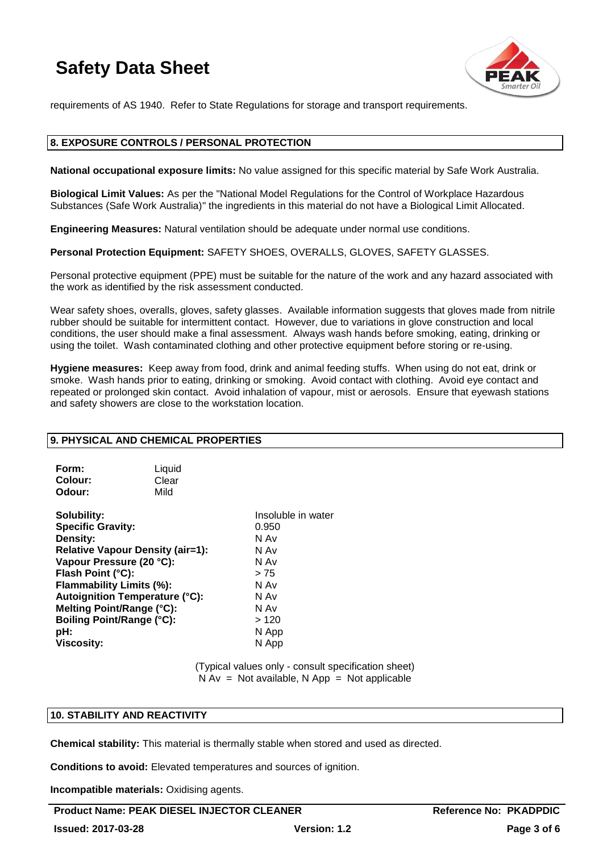

requirements of AS 1940. Refer to State Regulations for storage and transport requirements.

## **8. EXPOSURE CONTROLS / PERSONAL PROTECTION**

**National occupational exposure limits:** No value assigned for this specific material by Safe Work Australia.

**Biological Limit Values:** As per the "National Model Regulations for the Control of Workplace Hazardous Substances (Safe Work Australia)" the ingredients in this material do not have a Biological Limit Allocated.

**Engineering Measures:** Natural ventilation should be adequate under normal use conditions.

**Personal Protection Equipment:** SAFETY SHOES, OVERALLS, GLOVES, SAFETY GLASSES.

Personal protective equipment (PPE) must be suitable for the nature of the work and any hazard associated with the work as identified by the risk assessment conducted.

Wear safety shoes, overalls, gloves, safety glasses. Available information suggests that gloves made from nitrile rubber should be suitable for intermittent contact. However, due to variations in glove construction and local conditions, the user should make a final assessment. Always wash hands before smoking, eating, drinking or using the toilet. Wash contaminated clothing and other protective equipment before storing or re-using.

**Hygiene measures:** Keep away from food, drink and animal feeding stuffs. When using do not eat, drink or smoke. Wash hands prior to eating, drinking or smoking. Avoid contact with clothing. Avoid eye contact and repeated or prolonged skin contact. Avoid inhalation of vapour, mist or aerosols. Ensure that eyewash stations and safety showers are close to the workstation location.

### **9. PHYSICAL AND CHEMICAL PROPERTIES**

| Form:   | Liquid |
|---------|--------|
| Colour: | Clear  |
| Odour:  | Mild   |

**Solubility:** Insoluble in water<br> **Specific Gravity:** And The Contract of the Contract of the Contract of the Contract of the Contract of the Contr<br> **Specific Gravity:** And The Contract of the Contract of the Contract of t **Specific Gravity: Density:** N Av **Relative Vapour Density (air=1):** N Av **Vapour Pressure (20 °C):** N Av **Flash Point (°C):**  $> 75$ **Flammability Limits (%):** N Av **Autoignition Temperature (°C):** N Av **Melting Point/Range (°C):** N Av <br> **Boiling Point/Range (°C):** > 120 **Boiling Point/Range (°C):**<br>pH: **Viscosity:** N App

**pH:** N App

(Typical values only - consult specification sheet)  $N Av = Not available, N App = Not applicable$ 

## **10. STABILITY AND REACTIVITY**

**Chemical stability:** This material is thermally stable when stored and used as directed.

**Conditions to avoid:** Elevated temperatures and sources of ignition.

**Incompatible materials:** Oxidising agents.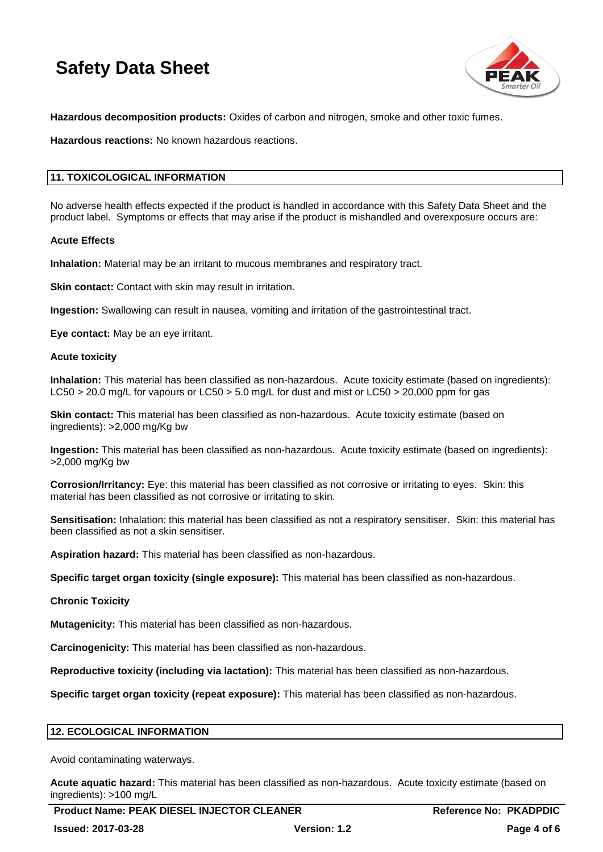

**Hazardous decomposition products:** Oxides of carbon and nitrogen, smoke and other toxic fumes.

**Hazardous reactions:** No known hazardous reactions.

## **11. TOXICOLOGICAL INFORMATION**

No adverse health effects expected if the product is handled in accordance with this Safety Data Sheet and the product label. Symptoms or effects that may arise if the product is mishandled and overexposure occurs are:

### **Acute Effects**

**Inhalation:** Material may be an irritant to mucous membranes and respiratory tract.

**Skin contact:** Contact with skin may result in irritation.

**Ingestion:** Swallowing can result in nausea, vomiting and irritation of the gastrointestinal tract.

**Eye contact:** May be an eye irritant.

### **Acute toxicity**

**Inhalation:** This material has been classified as non-hazardous. Acute toxicity estimate (based on ingredients): LC50 > 20.0 mg/L for vapours or LC50 > 5.0 mg/L for dust and mist or LC50 > 20,000 ppm for gas

**Skin contact:** This material has been classified as non-hazardous. Acute toxicity estimate (based on ingredients): >2,000 mg/Kg bw

**Ingestion:** This material has been classified as non-hazardous. Acute toxicity estimate (based on ingredients): >2,000 mg/Kg bw

**Corrosion/Irritancy:** Eye: this material has been classified as not corrosive or irritating to eyes. Skin: this material has been classified as not corrosive or irritating to skin.

**Sensitisation:** Inhalation: this material has been classified as not a respiratory sensitiser. Skin: this material has been classified as not a skin sensitiser.

**Aspiration hazard:** This material has been classified as non-hazardous.

**Specific target organ toxicity (single exposure):** This material has been classified as non-hazardous.

### **Chronic Toxicity**

**Mutagenicity:** This material has been classified as non-hazardous.

**Carcinogenicity:** This material has been classified as non-hazardous.

**Reproductive toxicity (including via lactation):** This material has been classified as non-hazardous.

**Specific target organ toxicity (repeat exposure):** This material has been classified as non-hazardous.

## **12. ECOLOGICAL INFORMATION**

Avoid contaminating waterways.

**Acute aquatic hazard:** This material has been classified as non-hazardous. Acute toxicity estimate (based on ingredients): >100 mg/L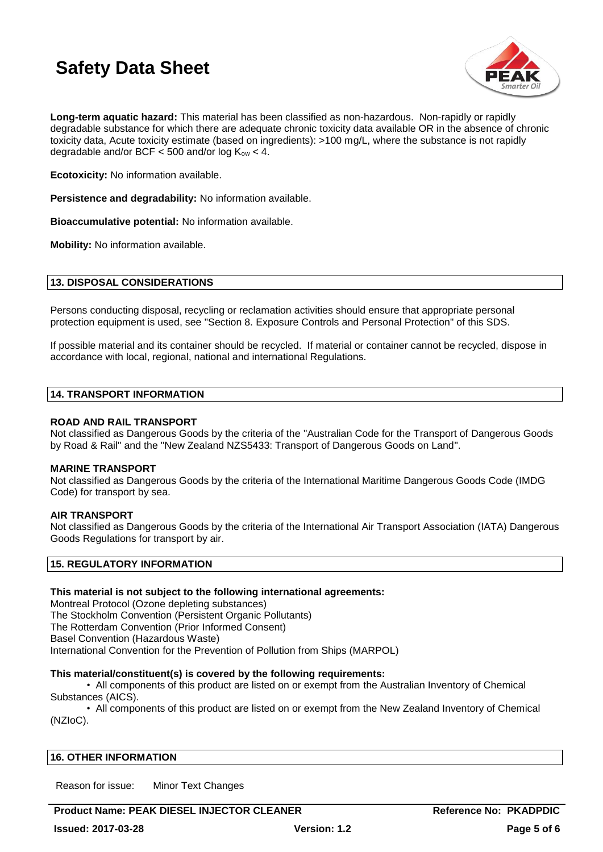

**Long-term aquatic hazard:** This material has been classified as non-hazardous. Non-rapidly or rapidly degradable substance for which there are adequate chronic toxicity data available OR in the absence of chronic toxicity data, Acute toxicity estimate (based on ingredients): >100 mg/L, where the substance is not rapidly degradable and/or BCF  $<$  500 and/or log K<sub>ow</sub>  $<$  4.

**Ecotoxicity:** No information available.

**Persistence and degradability:** No information available.

**Bioaccumulative potential:** No information available.

**Mobility:** No information available.

## **13. DISPOSAL CONSIDERATIONS**

Persons conducting disposal, recycling or reclamation activities should ensure that appropriate personal protection equipment is used, see "Section 8. Exposure Controls and Personal Protection" of this SDS.

If possible material and its container should be recycled. If material or container cannot be recycled, dispose in accordance with local, regional, national and international Regulations.

### **14. TRANSPORT INFORMATION**

## **ROAD AND RAIL TRANSPORT**

Not classified as Dangerous Goods by the criteria of the "Australian Code for the Transport of Dangerous Goods by Road & Rail" and the "New Zealand NZS5433: Transport of Dangerous Goods on Land".

### **MARINE TRANSPORT**

Not classified as Dangerous Goods by the criteria of the International Maritime Dangerous Goods Code (IMDG Code) for transport by sea.

## **AIR TRANSPORT**

Not classified as Dangerous Goods by the criteria of the International Air Transport Association (IATA) Dangerous Goods Regulations for transport by air.

## **15. REGULATORY INFORMATION**

## **This material is not subject to the following international agreements:**

Montreal Protocol (Ozone depleting substances) The Stockholm Convention (Persistent Organic Pollutants) The Rotterdam Convention (Prior Informed Consent) Basel Convention (Hazardous Waste) International Convention for the Prevention of Pollution from Ships (MARPOL)

## **This material/constituent(s) is covered by the following requirements:**

• All components of this product are listed on or exempt from the Australian Inventory of Chemical Substances (AICS).

• All components of this product are listed on or exempt from the New Zealand Inventory of Chemical (NZIoC).

## **16. OTHER INFORMATION**

Reason for issue: Minor Text Changes

**Product Name: PEAK DIESEL INJECTOR CLEANER <b>Reference No: PKADPDIC**